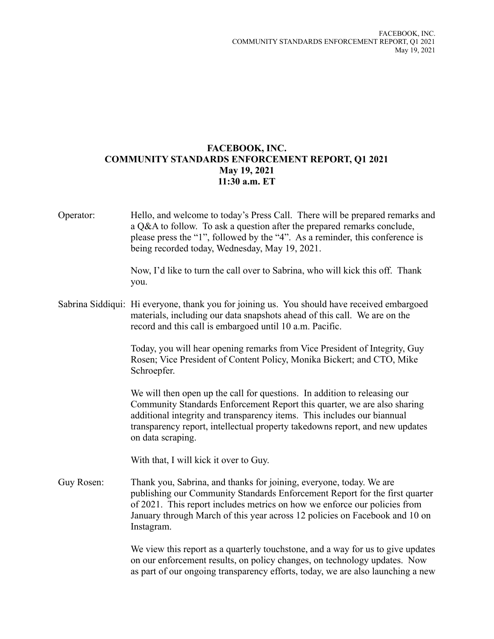## **FACEBOOK, INC. COMMUNITY STANDARDS ENFORCEMENT REPORT, Q1 2021 May 19, 2021 11:30 a.m. ET**

Operator: Hello, and welcome to today's Press Call. There will be prepared remarks and a Q&A to follow. To ask a question after the prepared remarks conclude, please press the "1", followed by the "4". As a reminder, this conference is being recorded today, Wednesday, May 19, 2021.

> Now, I'd like to turn the call over to Sabrina, who will kick this off. Thank you.

Sabrina Siddiqui: Hi everyone, thank you for joining us. You should have received embargoed materials, including our data snapshots ahead of this call. We are on the record and this call is embargoed until 10 a.m. Pacific.

> Today, you will hear opening remarks from Vice President of Integrity, Guy Rosen; Vice President of Content Policy, Monika Bickert; and CTO, Mike Schroepfer.

We will then open up the call for questions. In addition to releasing our Community Standards Enforcement Report this quarter, we are also sharing additional integrity and transparency items. This includes our biannual transparency report, intellectual property takedowns report, and new updates on data scraping.

With that, I will kick it over to Guy.

Guy Rosen: Thank you, Sabrina, and thanks for joining, everyone, today. We are publishing our Community Standards Enforcement Report for the first quarter of 2021. This report includes metrics on how we enforce our policies from January through March of this year across 12 policies on Facebook and 10 on Instagram.

> We view this report as a quarterly touchstone, and a way for us to give updates on our enforcement results, on policy changes, on technology updates. Now as part of our ongoing transparency efforts, today, we are also launching a new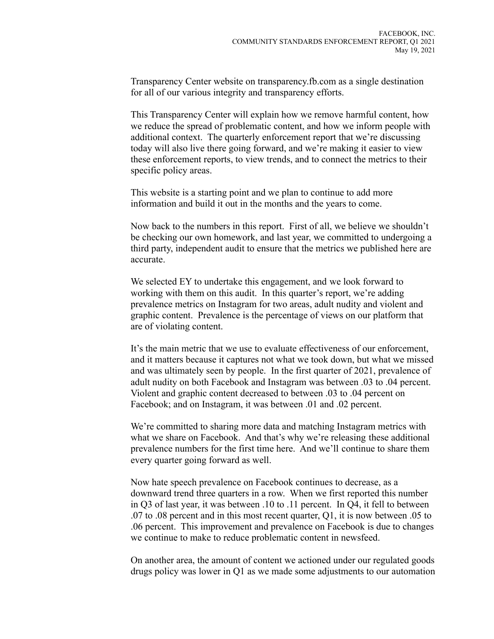Transparency Center website on transparency.fb.com as a single destination for all of our various integrity and transparency efforts.

This Transparency Center will explain how we remove harmful content, how we reduce the spread of problematic content, and how we inform people with additional context. The quarterly enforcement report that we're discussing today will also live there going forward, and we're making it easier to view these enforcement reports, to view trends, and to connect the metrics to their specific policy areas.

This website is a starting point and we plan to continue to add more information and build it out in the months and the years to come.

Now back to the numbers in this report. First of all, we believe we shouldn't be checking our own homework, and last year, we committed to undergoing a third party, independent audit to ensure that the metrics we published here are accurate.

We selected EY to undertake this engagement, and we look forward to working with them on this audit. In this quarter's report, we're adding prevalence metrics on Instagram for two areas, adult nudity and violent and graphic content. Prevalence is the percentage of views on our platform that are of violating content.

It's the main metric that we use to evaluate effectiveness of our enforcement, and it matters because it captures not what we took down, but what we missed and was ultimately seen by people. In the first quarter of 2021, prevalence of adult nudity on both Facebook and Instagram was between .03 to .04 percent. Violent and graphic content decreased to between .03 to .04 percent on Facebook; and on Instagram, it was between .01 and .02 percent.

We're committed to sharing more data and matching Instagram metrics with what we share on Facebook. And that's why we're releasing these additional prevalence numbers for the first time here. And we'll continue to share them every quarter going forward as well.

Now hate speech prevalence on Facebook continues to decrease, as a downward trend three quarters in a row. When we first reported this number in Q3 of last year, it was between .10 to .11 percent. In Q4, it fell to between .07 to .08 percent and in this most recent quarter, Q1, it is now between .05 to .06 percent. This improvement and prevalence on Facebook is due to changes we continue to make to reduce problematic content in newsfeed.

On another area, the amount of content we actioned under our regulated goods drugs policy was lower in Q1 as we made some adjustments to our automation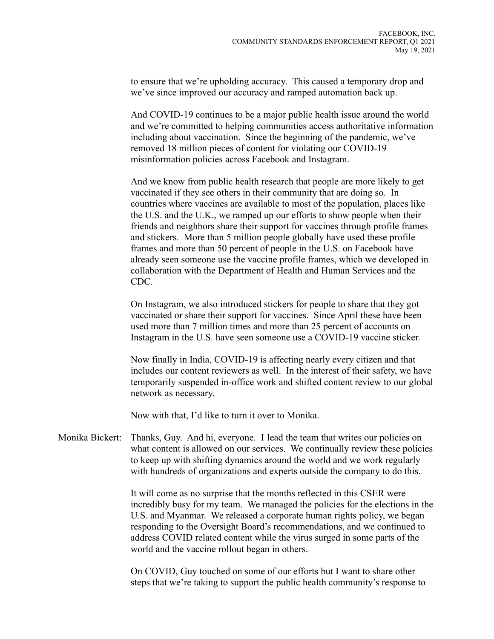to ensure that we're upholding accuracy. This caused a temporary drop and we've since improved our accuracy and ramped automation back up.

And COVID-19 continues to be a major public health issue around the world and we're committed to helping communities access authoritative information including about vaccination. Since the beginning of the pandemic, we've removed 18 million pieces of content for violating our COVID-19 misinformation policies across Facebook and Instagram.

And we know from public health research that people are more likely to get vaccinated if they see others in their community that are doing so. In countries where vaccines are available to most of the population, places like the U.S. and the U.K., we ramped up our efforts to show people when their friends and neighbors share their support for vaccines through profile frames and stickers. More than 5 million people globally have used these profile frames and more than 50 percent of people in the U.S. on Facebook have already seen someone use the vaccine profile frames, which we developed in collaboration with the Department of Health and Human Services and the CDC.

On Instagram, we also introduced stickers for people to share that they got vaccinated or share their support for vaccines. Since April these have been used more than 7 million times and more than 25 percent of accounts on Instagram in the U.S. have seen someone use a COVID-19 vaccine sticker.

Now finally in India, COVID-19 is affecting nearly every citizen and that includes our content reviewers as well. In the interest of their safety, we have temporarily suspended in-office work and shifted content review to our global network as necessary.

Now with that, I'd like to turn it over to Monika.

Monika Bickert: Thanks, Guy. And hi, everyone. I lead the team that writes our policies on what content is allowed on our services. We continually review these policies to keep up with shifting dynamics around the world and we work regularly with hundreds of organizations and experts outside the company to do this.

> It will come as no surprise that the months reflected in this CSER were incredibly busy for my team. We managed the policies for the elections in the U.S. and Myanmar. We released a corporate human rights policy, we began responding to the Oversight Board's recommendations, and we continued to address COVID related content while the virus surged in some parts of the world and the vaccine rollout began in others.

On COVID, Guy touched on some of our efforts but I want to share other steps that we're taking to support the public health community's response to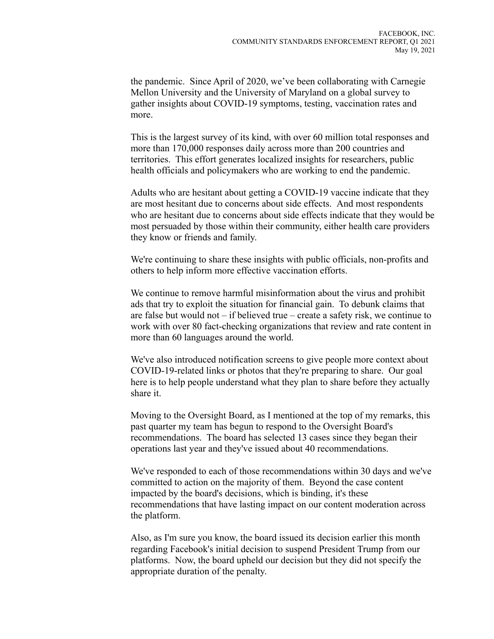the pandemic. Since April of 2020, we've been collaborating with Carnegie Mellon University and the University of Maryland on a global survey to gather insights about COVID-19 symptoms, testing, vaccination rates and more.

This is the largest survey of its kind, with over 60 million total responses and more than 170,000 responses daily across more than 200 countries and territories. This effort generates localized insights for researchers, public health officials and policymakers who are working to end the pandemic.

Adults who are hesitant about getting a COVID-19 vaccine indicate that they are most hesitant due to concerns about side effects. And most respondents who are hesitant due to concerns about side effects indicate that they would be most persuaded by those within their community, either health care providers they know or friends and family.

We're continuing to share these insights with public officials, non-profits and others to help inform more effective vaccination efforts.

We continue to remove harmful misinformation about the virus and prohibit ads that try to exploit the situation for financial gain. To debunk claims that are false but would not – if believed true – create a safety risk, we continue to work with over 80 fact-checking organizations that review and rate content in more than 60 languages around the world.

We've also introduced notification screens to give people more context about COVID-19-related links or photos that they're preparing to share. Our goal here is to help people understand what they plan to share before they actually share it.

Moving to the Oversight Board, as I mentioned at the top of my remarks, this past quarter my team has begun to respond to the Oversight Board's recommendations. The board has selected 13 cases since they began their operations last year and they've issued about 40 recommendations.

We've responded to each of those recommendations within 30 days and we've committed to action on the majority of them. Beyond the case content impacted by the board's decisions, which is binding, it's these recommendations that have lasting impact on our content moderation across the platform.

Also, as I'm sure you know, the board issued its decision earlier this month regarding Facebook's initial decision to suspend President Trump from our platforms. Now, the board upheld our decision but they did not specify the appropriate duration of the penalty.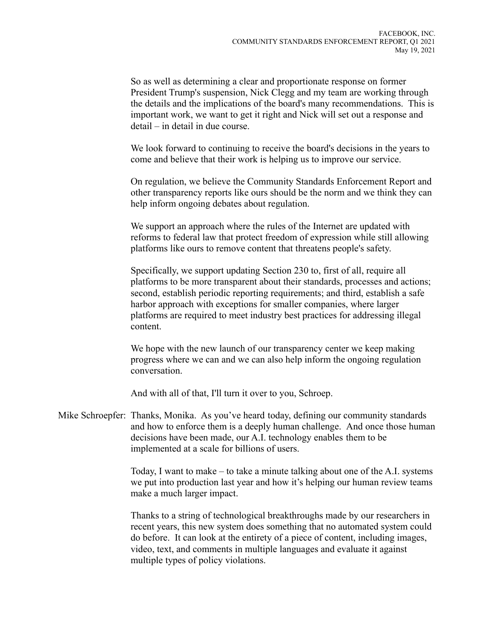So as well as determining a clear and proportionate response on former President Trump's suspension, Nick Clegg and my team are working through the details and the implications of the board's many recommendations. This is important work, we want to get it right and Nick will set out a response and detail – in detail in due course.

We look forward to continuing to receive the board's decisions in the years to come and believe that their work is helping us to improve our service.

On regulation, we believe the Community Standards Enforcement Report and other transparency reports like ours should be the norm and we think they can help inform ongoing debates about regulation.

We support an approach where the rules of the Internet are updated with reforms to federal law that protect freedom of expression while still allowing platforms like ours to remove content that threatens people's safety.

Specifically, we support updating Section 230 to, first of all, require all platforms to be more transparent about their standards, processes and actions; second, establish periodic reporting requirements; and third, establish a safe harbor approach with exceptions for smaller companies, where larger platforms are required to meet industry best practices for addressing illegal content.

We hope with the new launch of our transparency center we keep making progress where we can and we can also help inform the ongoing regulation conversation.

And with all of that, I'll turn it over to you, Schroep.

Mike Schroepfer: Thanks, Monika. As you've heard today, defining our community standards and how to enforce them is a deeply human challenge. And once those human decisions have been made, our A.I. technology enables them to be implemented at a scale for billions of users.

> Today, I want to make – to take a minute talking about one of the A.I. systems we put into production last year and how it's helping our human review teams make a much larger impact.

> Thanks to a string of technological breakthroughs made by our researchers in recent years, this new system does something that no automated system could do before. It can look at the entirety of a piece of content, including images, video, text, and comments in multiple languages and evaluate it against multiple types of policy violations.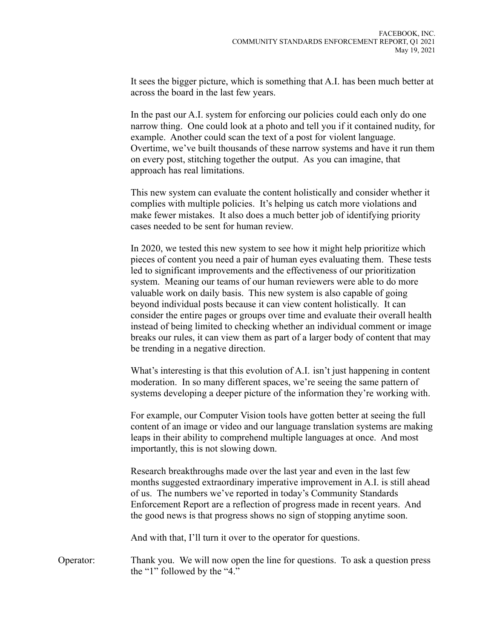It sees the bigger picture, which is something that A.I. has been much better at across the board in the last few years.

In the past our A.I. system for enforcing our policies could each only do one narrow thing. One could look at a photo and tell you if it contained nudity, for example. Another could scan the text of a post for violent language. Overtime, we've built thousands of these narrow systems and have it run them on every post, stitching together the output. As you can imagine, that approach has real limitations.

This new system can evaluate the content holistically and consider whether it complies with multiple policies. It's helping us catch more violations and make fewer mistakes. It also does a much better job of identifying priority cases needed to be sent for human review.

In 2020, we tested this new system to see how it might help prioritize which pieces of content you need a pair of human eyes evaluating them. These tests led to significant improvements and the effectiveness of our prioritization system. Meaning our teams of our human reviewers were able to do more valuable work on daily basis. This new system is also capable of going beyond individual posts because it can view content holistically. It can consider the entire pages or groups over time and evaluate their overall health instead of being limited to checking whether an individual comment or image breaks our rules, it can view them as part of a larger body of content that may be trending in a negative direction.

What's interesting is that this evolution of A.I. isn't just happening in content moderation. In so many different spaces, we're seeing the same pattern of systems developing a deeper picture of the information they're working with.

For example, our Computer Vision tools have gotten better at seeing the full content of an image or video and our language translation systems are making leaps in their ability to comprehend multiple languages at once. And most importantly, this is not slowing down.

Research breakthroughs made over the last year and even in the last few months suggested extraordinary imperative improvement in A.I. is still ahead of us. The numbers we've reported in today's Community Standards Enforcement Report are a reflection of progress made in recent years. And the good news is that progress shows no sign of stopping anytime soon.

And with that, I'll turn it over to the operator for questions.

Operator: Thank you. We will now open the line for questions. To ask a question press the "1" followed by the "4."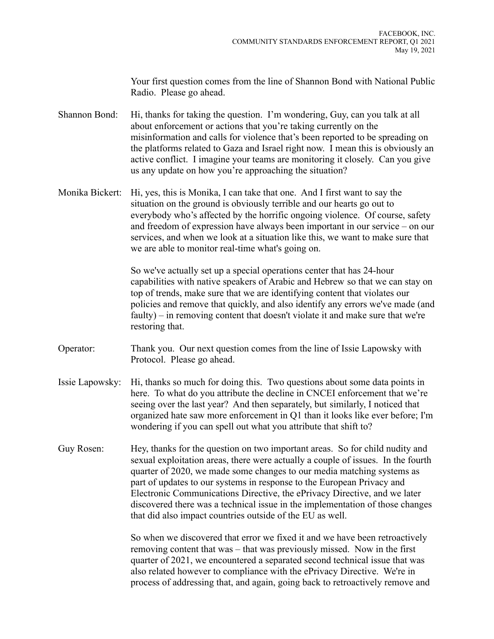Your first question comes from the line of Shannon Bond with National Public Radio. Please go ahead.

- Shannon Bond: Hi, thanks for taking the question. I'm wondering, Guy, can you talk at all about enforcement or actions that you're taking currently on the misinformation and calls for violence that's been reported to be spreading on the platforms related to Gaza and Israel right now. I mean this is obviously an active conflict. I imagine your teams are monitoring it closely. Can you give us any update on how you're approaching the situation?
- Monika Bickert: Hi, yes, this is Monika, I can take that one. And I first want to say the situation on the ground is obviously terrible and our hearts go out to everybody who's affected by the horrific ongoing violence. Of course, safety and freedom of expression have always been important in our service – on our services, and when we look at a situation like this, we want to make sure that we are able to monitor real-time what's going on.

So we've actually set up a special operations center that has 24-hour capabilities with native speakers of Arabic and Hebrew so that we can stay on top of trends, make sure that we are identifying content that violates our policies and remove that quickly, and also identify any errors we've made (and faulty) – in removing content that doesn't violate it and make sure that we're restoring that.

- Operator: Thank you. Our next question comes from the line of Issie Lapowsky with Protocol. Please go ahead.
- Issie Lapowsky: Hi, thanks so much for doing this. Two questions about some data points in here. To what do you attribute the decline in CNCEI enforcement that we're seeing over the last year? And then separately, but similarly, I noticed that organized hate saw more enforcement in Q1 than it looks like ever before; I'm wondering if you can spell out what you attribute that shift to?
- Guy Rosen: Hey, thanks for the question on two important areas. So for child nudity and sexual exploitation areas, there were actually a couple of issues. In the fourth quarter of 2020, we made some changes to our media matching systems as part of updates to our systems in response to the European Privacy and Electronic Communications Directive, the ePrivacy Directive, and we later discovered there was a technical issue in the implementation of those changes that did also impact countries outside of the EU as well.

So when we discovered that error we fixed it and we have been retroactively removing content that was – that was previously missed. Now in the first quarter of 2021, we encountered a separated second technical issue that was also related however to compliance with the ePrivacy Directive. We're in process of addressing that, and again, going back to retroactively remove and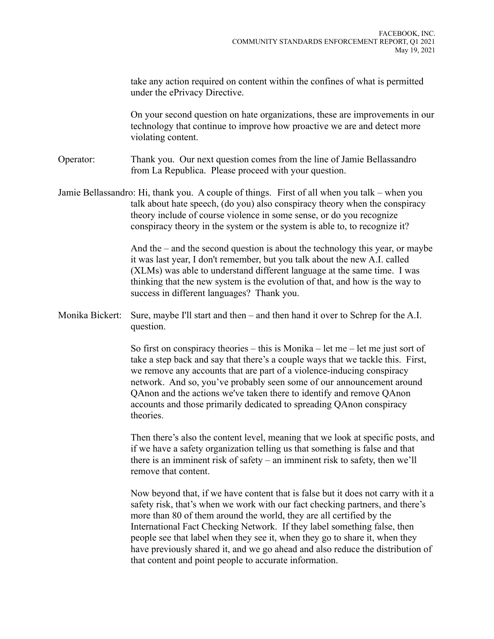take any action required on content within the confines of what is permitted under the ePrivacy Directive.

On your second question on hate organizations, these are improvements in our technology that continue to improve how proactive we are and detect more violating content.

Operator: Thank you. Our next question comes from the line of Jamie Bellassandro from La Republica. Please proceed with your question.

Jamie Bellassandro: Hi, thank you. A couple of things. First of all when you talk – when you talk about hate speech, (do you) also conspiracy theory when the conspiracy theory include of course violence in some sense, or do you recognize conspiracy theory in the system or the system is able to, to recognize it?

> And the – and the second question is about the technology this year, or maybe it was last year, I don't remember, but you talk about the new A.I. called (XLMs) was able to understand different language at the same time. I was thinking that the new system is the evolution of that, and how is the way to success in different languages? Thank you.

Monika Bickert: Sure, maybe I'll start and then – and then hand it over to Schrep for the A.I. question.

> So first on conspiracy theories – this is Monika – let me – let me just sort of take a step back and say that there's a couple ways that we tackle this. First, we remove any accounts that are part of a violence-inducing conspiracy network. And so, you've probably seen some of our announcement around QAnon and the actions we've taken there to identify and remove QAnon accounts and those primarily dedicated to spreading QAnon conspiracy theories.

Then there's also the content level, meaning that we look at specific posts, and if we have a safety organization telling us that something is false and that there is an imminent risk of safety – an imminent risk to safety, then we'll remove that content.

Now beyond that, if we have content that is false but it does not carry with it a safety risk, that's when we work with our fact checking partners, and there's more than 80 of them around the world, they are all certified by the International Fact Checking Network. If they label something false, then people see that label when they see it, when they go to share it, when they have previously shared it, and we go ahead and also reduce the distribution of that content and point people to accurate information.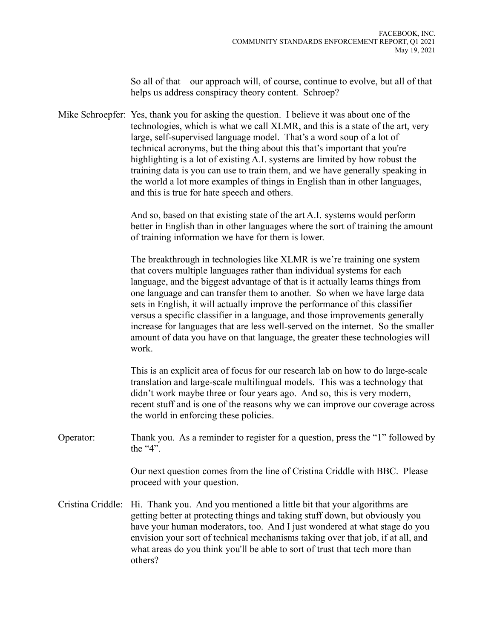So all of that – our approach will, of course, continue to evolve, but all of that helps us address conspiracy theory content. Schroep?

Mike Schroepfer: Yes, thank you for asking the question. I believe it was about one of the technologies, which is what we call XLMR, and this is a state of the art, very large, self-supervised language model. That's a word soup of a lot of technical acronyms, but the thing about this that's important that you're highlighting is a lot of existing A.I. systems are limited by how robust the training data is you can use to train them, and we have generally speaking in the world a lot more examples of things in English than in other languages, and this is true for hate speech and others.

> And so, based on that existing state of the art A.I. systems would perform better in English than in other languages where the sort of training the amount of training information we have for them is lower.

> The breakthrough in technologies like XLMR is we're training one system that covers multiple languages rather than individual systems for each language, and the biggest advantage of that is it actually learns things from one language and can transfer them to another. So when we have large data sets in English, it will actually improve the performance of this classifier versus a specific classifier in a language, and those improvements generally increase for languages that are less well-served on the internet. So the smaller amount of data you have on that language, the greater these technologies will work.

> This is an explicit area of focus for our research lab on how to do large-scale translation and large-scale multilingual models. This was a technology that didn't work maybe three or four years ago. And so, this is very modern, recent stuff and is one of the reasons why we can improve our coverage across the world in enforcing these policies.

Operator: Thank you. As a reminder to register for a question, press the "1" followed by the "4".

> Our next question comes from the line of Cristina Criddle with BBC. Please proceed with your question.

Cristina Criddle: Hi. Thank you. And you mentioned a little bit that your algorithms are getting better at protecting things and taking stuff down, but obviously you have your human moderators, too. And I just wondered at what stage do you envision your sort of technical mechanisms taking over that job, if at all, and what areas do you think you'll be able to sort of trust that tech more than others?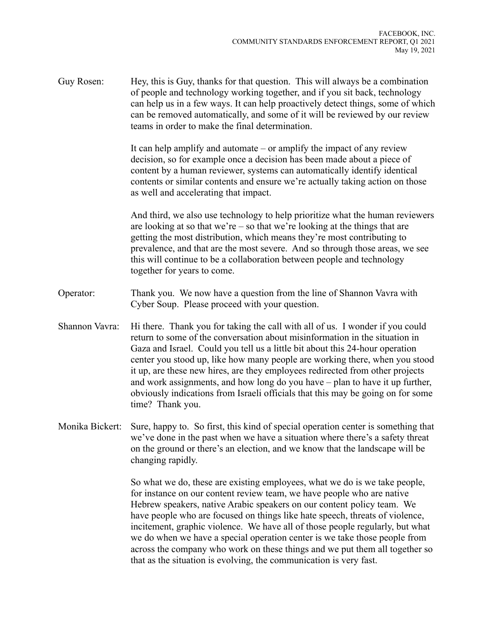Guy Rosen: Hey, this is Guy, thanks for that question. This will always be a combination of people and technology working together, and if you sit back, technology can help us in a few ways. It can help proactively detect things, some of which can be removed automatically, and some of it will be reviewed by our review teams in order to make the final determination.

> It can help amplify and automate  $-$  or amplify the impact of any review decision, so for example once a decision has been made about a piece of content by a human reviewer, systems can automatically identify identical contents or similar contents and ensure we're actually taking action on those as well and accelerating that impact.

And third, we also use technology to help prioritize what the human reviewers are looking at so that we're – so that we're looking at the things that are getting the most distribution, which means they're most contributing to prevalence, and that are the most severe. And so through those areas, we see this will continue to be a collaboration between people and technology together for years to come.

- Operator: Thank you. We now have a question from the line of Shannon Vavra with Cyber Soup. Please proceed with your question.
- Shannon Vavra: Hi there. Thank you for taking the call with all of us. I wonder if you could return to some of the conversation about misinformation in the situation in Gaza and Israel. Could you tell us a little bit about this 24-hour operation center you stood up, like how many people are working there, when you stood it up, are these new hires, are they employees redirected from other projects and work assignments, and how long do you have – plan to have it up further, obviously indications from Israeli officials that this may be going on for some time? Thank you.
- Monika Bickert: Sure, happy to. So first, this kind of special operation center is something that we've done in the past when we have a situation where there's a safety threat on the ground or there's an election, and we know that the landscape will be changing rapidly.

So what we do, these are existing employees, what we do is we take people, for instance on our content review team, we have people who are native Hebrew speakers, native Arabic speakers on our content policy team. We have people who are focused on things like hate speech, threats of violence, incitement, graphic violence. We have all of those people regularly, but what we do when we have a special operation center is we take those people from across the company who work on these things and we put them all together so that as the situation is evolving, the communication is very fast.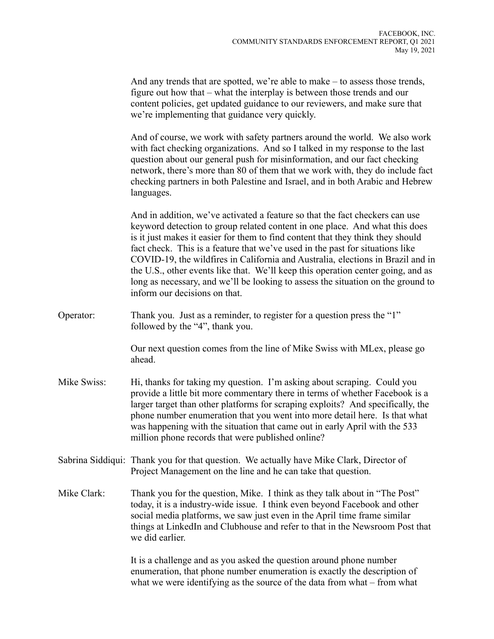And any trends that are spotted, we're able to make – to assess those trends, figure out how that – what the interplay is between those trends and our content policies, get updated guidance to our reviewers, and make sure that we're implementing that guidance very quickly.

And of course, we work with safety partners around the world. We also work with fact checking organizations. And so I talked in my response to the last question about our general push for misinformation, and our fact checking network, there's more than 80 of them that we work with, they do include fact checking partners in both Palestine and Israel, and in both Arabic and Hebrew languages.

And in addition, we've activated a feature so that the fact checkers can use keyword detection to group related content in one place. And what this does is it just makes it easier for them to find content that they think they should fact check. This is a feature that we've used in the past for situations like COVID-19, the wildfires in California and Australia, elections in Brazil and in the U.S., other events like that. We'll keep this operation center going, and as long as necessary, and we'll be looking to assess the situation on the ground to inform our decisions on that.

Operator: Thank you. Just as a reminder, to register for a question press the "1" followed by the "4", thank you.

> Our next question comes from the line of Mike Swiss with MLex, please go ahead.

- Mike Swiss: Hi, thanks for taking my question. I'm asking about scraping. Could you provide a little bit more commentary there in terms of whether Facebook is a larger target than other platforms for scraping exploits? And specifically, the phone number enumeration that you went into more detail here. Is that what was happening with the situation that came out in early April with the 533 million phone records that were published online?
- Sabrina Siddiqui: Thank you for that question. We actually have Mike Clark, Director of Project Management on the line and he can take that question.
- Mike Clark: Thank you for the question, Mike. I think as they talk about in "The Post" today, it is a industry-wide issue. I think even beyond Facebook and other social media platforms, we saw just even in the April time frame similar things at LinkedIn and Clubhouse and refer to that in the Newsroom Post that we did earlier.

It is a challenge and as you asked the question around phone number enumeration, that phone number enumeration is exactly the description of what we were identifying as the source of the data from what – from what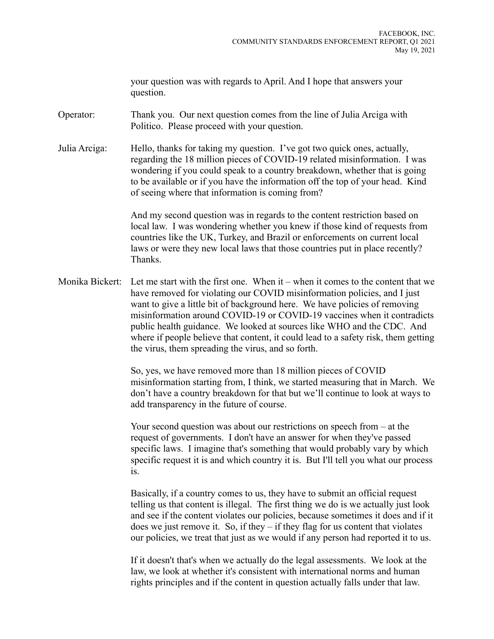your question was with regards to April. And I hope that answers your question.

Operator: Thank you. Our next question comes from the line of Julia Arciga with Politico. Please proceed with your question.

Julia Arciga: Hello, thanks for taking my question. I've got two quick ones, actually, regarding the 18 million pieces of COVID-19 related misinformation. I was wondering if you could speak to a country breakdown, whether that is going to be available or if you have the information off the top of your head. Kind of seeing where that information is coming from?

> And my second question was in regards to the content restriction based on local law. I was wondering whether you knew if those kind of requests from countries like the UK, Turkey, and Brazil or enforcements on current local laws or were they new local laws that those countries put in place recently? Thanks.

Monika Bickert: Let me start with the first one. When  $it$  – when it comes to the content that we have removed for violating our COVID misinformation policies, and I just want to give a little bit of background here. We have policies of removing misinformation around COVID-19 or COVID-19 vaccines when it contradicts public health guidance. We looked at sources like WHO and the CDC. And where if people believe that content, it could lead to a safety risk, them getting the virus, them spreading the virus, and so forth.

> So, yes, we have removed more than 18 million pieces of COVID misinformation starting from, I think, we started measuring that in March. We don't have a country breakdown for that but we'll continue to look at ways to add transparency in the future of course.

> Your second question was about our restrictions on speech from – at the request of governments. I don't have an answer for when they've passed specific laws. I imagine that's something that would probably vary by which specific request it is and which country it is. But I'll tell you what our process is.

> Basically, if a country comes to us, they have to submit an official request telling us that content is illegal. The first thing we do is we actually just look and see if the content violates our policies, because sometimes it does and if it does we just remove it. So, if they  $-$  if they flag for us content that violates our policies, we treat that just as we would if any person had reported it to us.

If it doesn't that's when we actually do the legal assessments. We look at the law, we look at whether it's consistent with international norms and human rights principles and if the content in question actually falls under that law.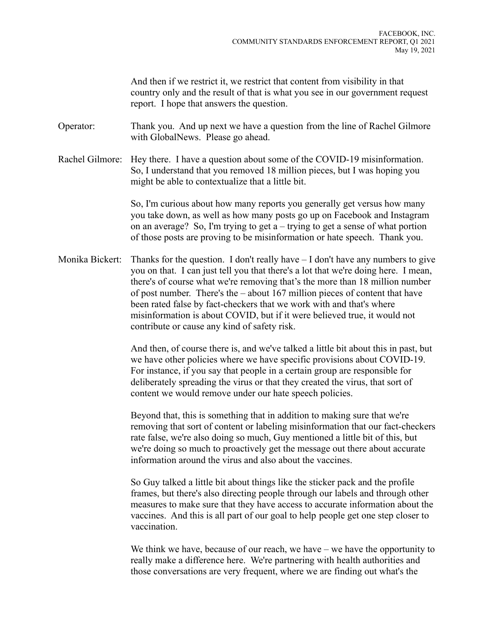And then if we restrict it, we restrict that content from visibility in that country only and the result of that is what you see in our government request report. I hope that answers the question.

Operator: Thank you. And up next we have a question from the line of Rachel Gilmore with GlobalNews. Please go ahead.

Rachel Gilmore: Hey there. I have a question about some of the COVID-19 misinformation. So, I understand that you removed 18 million pieces, but I was hoping you might be able to contextualize that a little bit.

> So, I'm curious about how many reports you generally get versus how many you take down, as well as how many posts go up on Facebook and Instagram on an average? So, I'm trying to get a – trying to get a sense of what portion of those posts are proving to be misinformation or hate speech. Thank you.

Monika Bickert: Thanks for the question. I don't really have – I don't have any numbers to give you on that. I can just tell you that there's a lot that we're doing here. I mean, there's of course what we're removing that's the more than 18 million number of post number. There's the – about 167 million pieces of content that have been rated false by fact-checkers that we work with and that's where misinformation is about COVID, but if it were believed true, it would not contribute or cause any kind of safety risk.

> And then, of course there is, and we've talked a little bit about this in past, but we have other policies where we have specific provisions about COVID-19. For instance, if you say that people in a certain group are responsible for deliberately spreading the virus or that they created the virus, that sort of content we would remove under our hate speech policies.

> Beyond that, this is something that in addition to making sure that we're removing that sort of content or labeling misinformation that our fact-checkers rate false, we're also doing so much, Guy mentioned a little bit of this, but we're doing so much to proactively get the message out there about accurate information around the virus and also about the vaccines.

> So Guy talked a little bit about things like the sticker pack and the profile frames, but there's also directing people through our labels and through other measures to make sure that they have access to accurate information about the vaccines. And this is all part of our goal to help people get one step closer to vaccination.

> We think we have, because of our reach, we have – we have the opportunity to really make a difference here. We're partnering with health authorities and those conversations are very frequent, where we are finding out what's the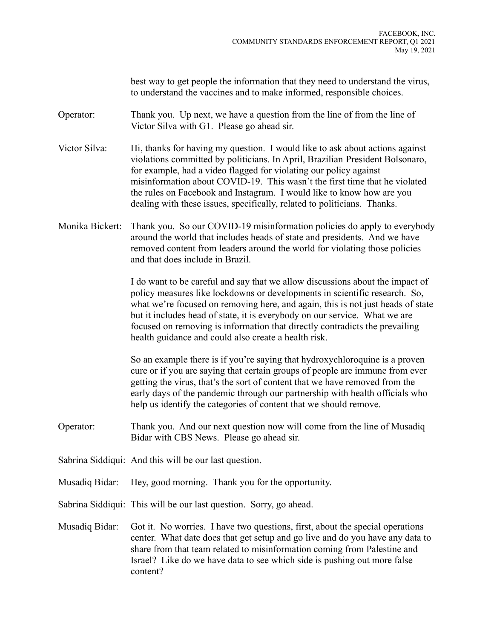best way to get people the information that they need to understand the virus, to understand the vaccines and to make informed, responsible choices.

- Operator: Thank you. Up next, we have a question from the line of from the line of Victor Silva with G1. Please go ahead sir.
- Victor Silva: Hi, thanks for having my question. I would like to ask about actions against violations committed by politicians. In April, Brazilian President Bolsonaro, for example, had a video flagged for violating our policy against misinformation about COVID-19. This wasn't the first time that he violated the rules on Facebook and Instagram. I would like to know how are you dealing with these issues, specifically, related to politicians. Thanks.
- Monika Bickert: Thank you. So our COVID-19 misinformation policies do apply to everybody around the world that includes heads of state and presidents. And we have removed content from leaders around the world for violating those policies and that does include in Brazil.

I do want to be careful and say that we allow discussions about the impact of policy measures like lockdowns or developments in scientific research. So, what we're focused on removing here, and again, this is not just heads of state but it includes head of state, it is everybody on our service. What we are focused on removing is information that directly contradicts the prevailing health guidance and could also create a health risk.

So an example there is if you're saying that hydroxychloroquine is a proven cure or if you are saying that certain groups of people are immune from ever getting the virus, that's the sort of content that we have removed from the early days of the pandemic through our partnership with health officials who help us identify the categories of content that we should remove.

- Operator: Thank you. And our next question now will come from the line of Musadiq Bidar with CBS News. Please go ahead sir.
- Sabrina Siddiqui: And this will be our last question.
- Musadiq Bidar: Hey, good morning. Thank you for the opportunity.
- Sabrina Siddiqui: This will be our last question. Sorry, go ahead.
- Musadiq Bidar: Got it. No worries. I have two questions, first, about the special operations center. What date does that get setup and go live and do you have any data to share from that team related to misinformation coming from Palestine and Israel? Like do we have data to see which side is pushing out more false content?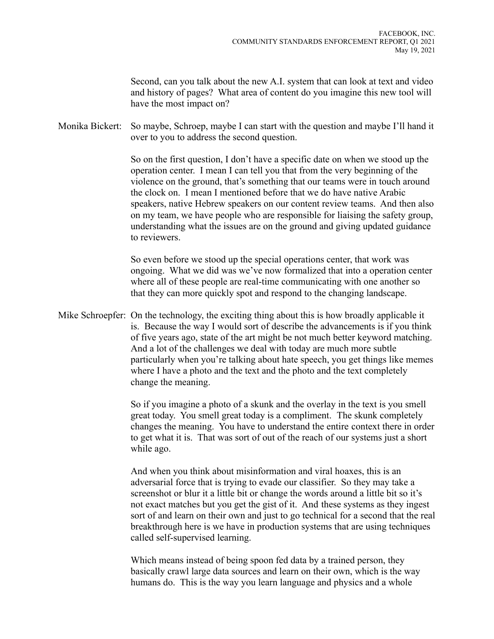Second, can you talk about the new A.I. system that can look at text and video and history of pages? What area of content do you imagine this new tool will have the most impact on?

Monika Bickert: So maybe, Schroep, maybe I can start with the question and maybe I'll hand it over to you to address the second question.

> So on the first question, I don't have a specific date on when we stood up the operation center. I mean I can tell you that from the very beginning of the violence on the ground, that's something that our teams were in touch around the clock on. I mean I mentioned before that we do have native Arabic speakers, native Hebrew speakers on our content review teams. And then also on my team, we have people who are responsible for liaising the safety group, understanding what the issues are on the ground and giving updated guidance to reviewers.

> So even before we stood up the special operations center, that work was ongoing. What we did was we've now formalized that into a operation center where all of these people are real-time communicating with one another so that they can more quickly spot and respond to the changing landscape.

Mike Schroepfer: On the technology, the exciting thing about this is how broadly applicable it is. Because the way I would sort of describe the advancements is if you think of five years ago, state of the art might be not much better keyword matching. And a lot of the challenges we deal with today are much more subtle particularly when you're talking about hate speech, you get things like memes where I have a photo and the text and the photo and the text completely change the meaning.

> So if you imagine a photo of a skunk and the overlay in the text is you smell great today. You smell great today is a compliment. The skunk completely changes the meaning. You have to understand the entire context there in order to get what it is. That was sort of out of the reach of our systems just a short while ago.

> And when you think about misinformation and viral hoaxes, this is an adversarial force that is trying to evade our classifier. So they may take a screenshot or blur it a little bit or change the words around a little bit so it's not exact matches but you get the gist of it. And these systems as they ingest sort of and learn on their own and just to go technical for a second that the real breakthrough here is we have in production systems that are using techniques called self-supervised learning.

Which means instead of being spoon fed data by a trained person, they basically crawl large data sources and learn on their own, which is the way humans do. This is the way you learn language and physics and a whole